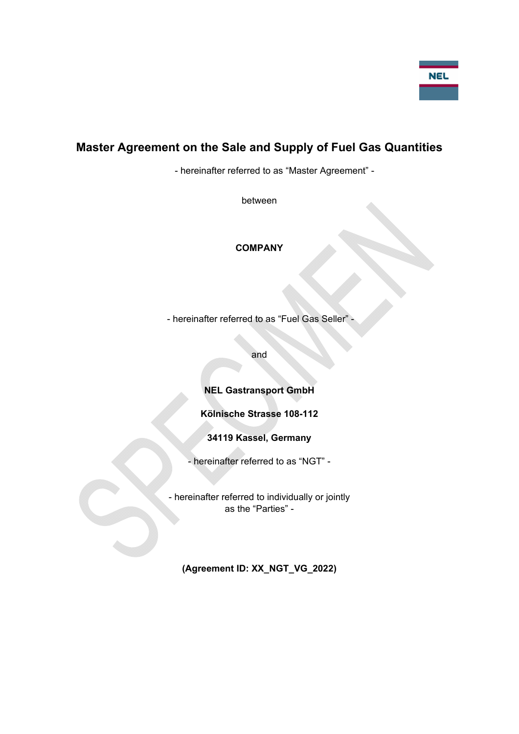# **Master Agreement on the Sale and Supply of Fuel Gas Quantities**

- hereinafter referred to as "Master Agreement" -

between

# **COMPANY**

- hereinafter referred to as "Fuel Gas Seller" -

and

**NEL Gastransport GmbH** 

**Kölnische Strasse 108-112** 

**34119 Kassel, Germany** 

- hereinafter referred to as "NGT" -

- hereinafter referred to individually or jointly as the "Parties" -

**(Agreement ID: XX\_NGT\_VG\_2022)**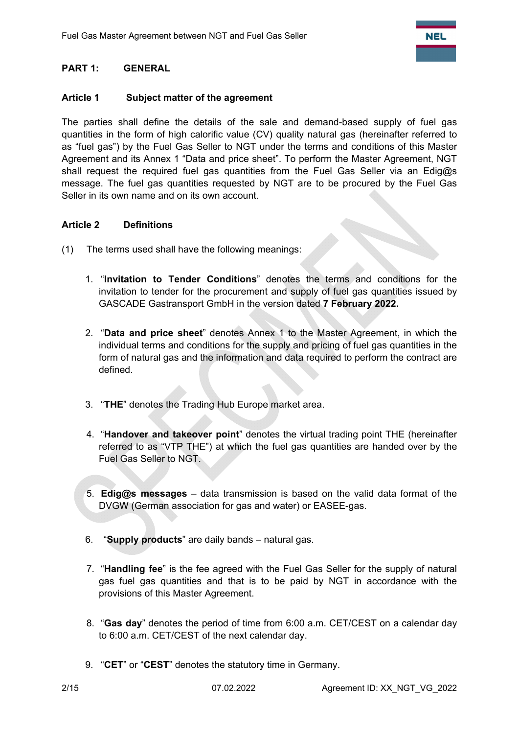# **PART 1: GENERAL**

## **Article 1 Subject matter of the agreement**

The parties shall define the details of the sale and demand-based supply of fuel gas quantities in the form of high calorific value (CV) quality natural gas (hereinafter referred to as "fuel gas") by the Fuel Gas Seller to NGT under the terms and conditions of this Master Agreement and its Annex 1 "Data and price sheet". To perform the Master Agreement, NGT shall request the required fuel gas quantities from the Fuel Gas Seller via an Edig@s message. The fuel gas quantities requested by NGT are to be procured by the Fuel Gas Seller in its own name and on its own account.

## **Article 2 Definitions**

- (1) The terms used shall have the following meanings:
	- 1. "**Invitation to Tender Conditions**" denotes the terms and conditions for the invitation to tender for the procurement and supply of fuel gas quantities issued by GASCADE Gastransport GmbH in the version dated **7 February 2022.**
	- 2. "**Data and price sheet**" denotes Annex 1 to the Master Agreement, in which the individual terms and conditions for the supply and pricing of fuel gas quantities in the form of natural gas and the information and data required to perform the contract are defined.
	- 3. "**THE**" denotes the Trading Hub Europe market area.
	- 4. "**Handover and takeover point**" denotes the virtual trading point THE (hereinafter referred to as "VTP THE") at which the fuel gas quantities are handed over by the Fuel Gas Seller to NGT.
	- 5. **Edig@s messages** data transmission is based on the valid data format of the DVGW (German association for gas and water) or EASEE-gas.
	- 6. "**Supply products**" are daily bands natural gas.
	- 7. "**Handling fee**" is the fee agreed with the Fuel Gas Seller for the supply of natural gas fuel gas quantities and that is to be paid by NGT in accordance with the provisions of this Master Agreement.
	- 8. "**Gas day**" denotes the period of time from 6:00 a.m. CET/CEST on a calendar day to 6:00 a.m. CET/CEST of the next calendar day.
	- 9. "**CET**" or "**CEST**" denotes the statutory time in Germany.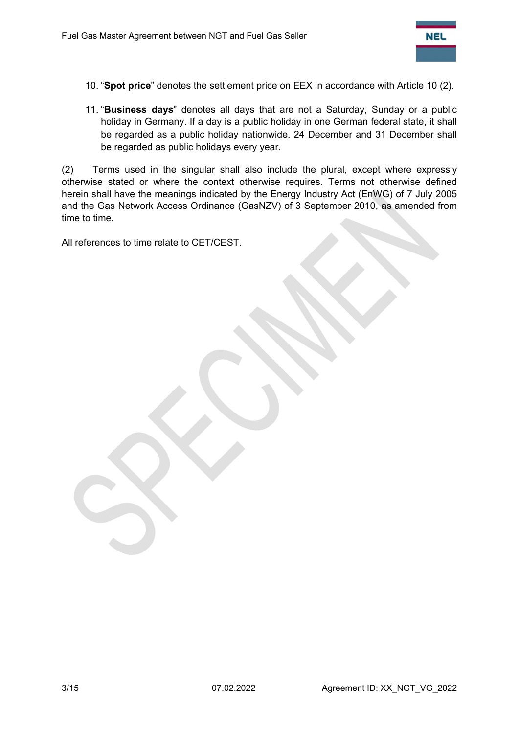

- 10. "**Spot price**" denotes the settlement price on EEX in accordance with Article 10 (2).
- 11. "**Business days**" denotes all days that are not a Saturday, Sunday or a public holiday in Germany. If a day is a public holiday in one German federal state, it shall be regarded as a public holiday nationwide. 24 December and 31 December shall be regarded as public holidays every year.

(2) Terms used in the singular shall also include the plural, except where expressly otherwise stated or where the context otherwise requires. Terms not otherwise defined herein shall have the meanings indicated by the Energy Industry Act (EnWG) of 7 July 2005 and the Gas Network Access Ordinance (GasNZV) of 3 September 2010, as amended from time to time.

All references to time relate to CET/CEST.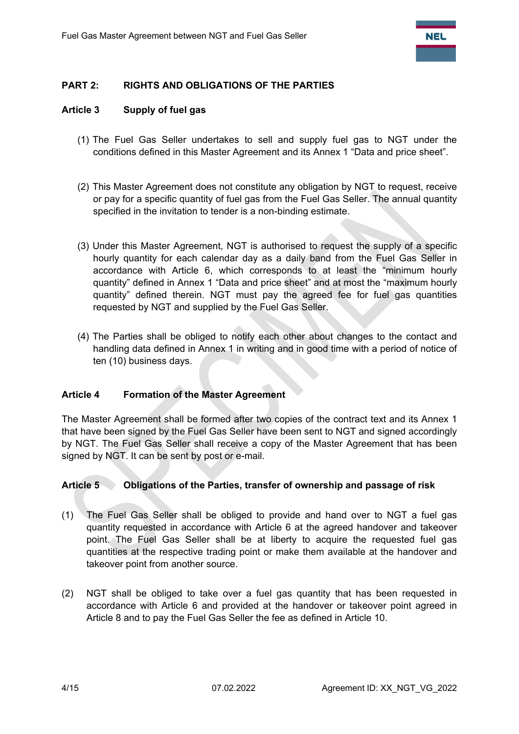

## **PART 2: RIGHTS AND OBLIGATIONS OF THE PARTIES**

#### **Article 3 Supply of fuel gas**

- (1) The Fuel Gas Seller undertakes to sell and supply fuel gas to NGT under the conditions defined in this Master Agreement and its Annex 1 "Data and price sheet".
- (2) This Master Agreement does not constitute any obligation by NGT to request, receive or pay for a specific quantity of fuel gas from the Fuel Gas Seller. The annual quantity specified in the invitation to tender is a non-binding estimate.
- (3) Under this Master Agreement, NGT is authorised to request the supply of a specific hourly quantity for each calendar day as a daily band from the Fuel Gas Seller in accordance with Article 6, which corresponds to at least the "minimum hourly quantity" defined in Annex 1 "Data and price sheet" and at most the "maximum hourly quantity" defined therein. NGT must pay the agreed fee for fuel gas quantities requested by NGT and supplied by the Fuel Gas Seller.
- (4) The Parties shall be obliged to notify each other about changes to the contact and handling data defined in Annex 1 in writing and in good time with a period of notice of ten (10) business days.

#### **Article 4 Formation of the Master Agreement**

The Master Agreement shall be formed after two copies of the contract text and its Annex 1 that have been signed by the Fuel Gas Seller have been sent to NGT and signed accordingly by NGT. The Fuel Gas Seller shall receive a copy of the Master Agreement that has been signed by NGT. It can be sent by post or e-mail.

#### **Article 5 Obligations of the Parties, transfer of ownership and passage of risk**

- (1) The Fuel Gas Seller shall be obliged to provide and hand over to NGT a fuel gas quantity requested in accordance with Article 6 at the agreed handover and takeover point. The Fuel Gas Seller shall be at liberty to acquire the requested fuel gas quantities at the respective trading point or make them available at the handover and takeover point from another source.
- (2) NGT shall be obliged to take over a fuel gas quantity that has been requested in accordance with Article 6 and provided at the handover or takeover point agreed in Article 8 and to pay the Fuel Gas Seller the fee as defined in Article 10.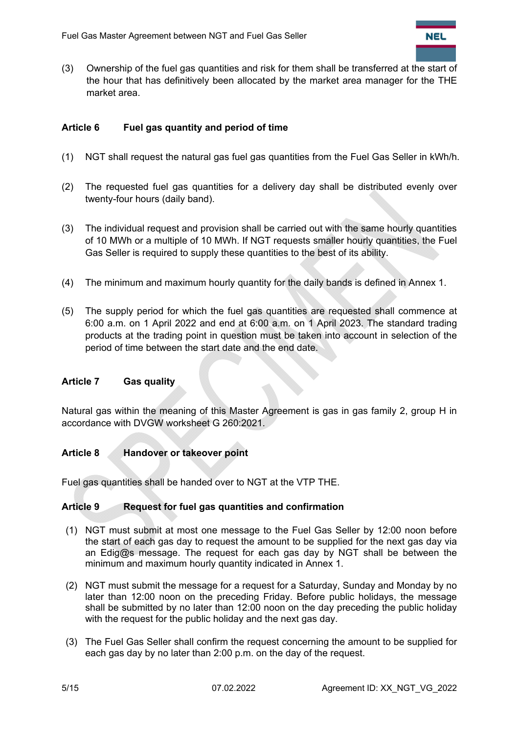

(3) Ownership of the fuel gas quantities and risk for them shall be transferred at the start of the hour that has definitively been allocated by the market area manager for the THE market area.

## **Article 6 Fuel gas quantity and period of time**

- (1) NGT shall request the natural gas fuel gas quantities from the Fuel Gas Seller in kWh/h.
- (2) The requested fuel gas quantities for a delivery day shall be distributed evenly over twenty-four hours (daily band).
- (3) The individual request and provision shall be carried out with the same hourly quantities of 10 MWh or a multiple of 10 MWh. If NGT requests smaller hourly quantities, the Fuel Gas Seller is required to supply these quantities to the best of its ability.
- (4) The minimum and maximum hourly quantity for the daily bands is defined in Annex 1.
- (5) The supply period for which the fuel gas quantities are requested shall commence at 6:00 a.m. on 1 April 2022 and end at 6:00 a.m. on 1 April 2023. The standard trading products at the trading point in question must be taken into account in selection of the period of time between the start date and the end date.

#### **Article 7 Gas quality**

Natural gas within the meaning of this Master Agreement is gas in gas family 2, group H in accordance with DVGW worksheet G 260:2021.

#### **Article 8 Handover or takeover point**

Fuel gas quantities shall be handed over to NGT at the VTP THE.

#### **Article 9 Request for fuel gas quantities and confirmation**

- (1) NGT must submit at most one message to the Fuel Gas Seller by 12:00 noon before the start of each gas day to request the amount to be supplied for the next gas day via an Edig@s message. The request for each gas day by NGT shall be between the minimum and maximum hourly quantity indicated in Annex 1.
- (2) NGT must submit the message for a request for a Saturday, Sunday and Monday by no later than 12:00 noon on the preceding Friday. Before public holidays, the message shall be submitted by no later than 12:00 noon on the day preceding the public holiday with the request for the public holiday and the next gas day.
- (3) The Fuel Gas Seller shall confirm the request concerning the amount to be supplied for each gas day by no later than 2:00 p.m. on the day of the request.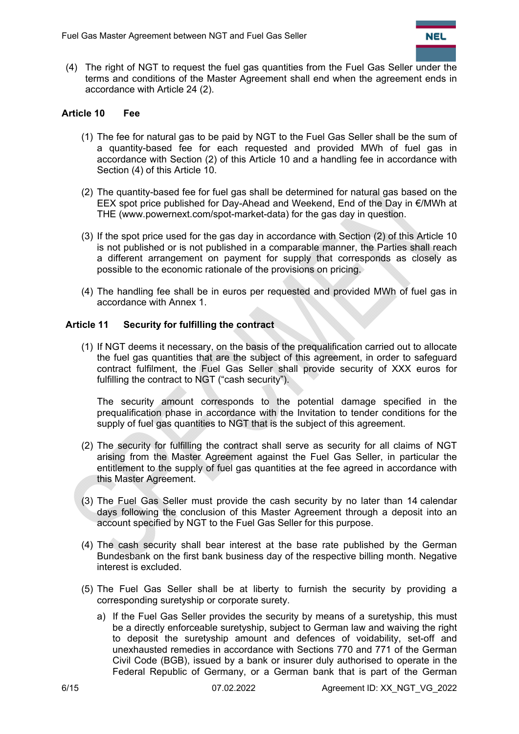

(4) The right of NGT to request the fuel gas quantities from the Fuel Gas Seller under the terms and conditions of the Master Agreement shall end when the agreement ends in accordance with Article 24 (2).

# **Article 10 Fee**

- (1) The fee for natural gas to be paid by NGT to the Fuel Gas Seller shall be the sum of a quantity-based fee for each requested and provided MWh of fuel gas in accordance with Section (2) of this Article 10 and a handling fee in accordance with Section (4) of this Article 10.
- (2) The quantity-based fee for fuel gas shall be determined for natural gas based on the EEX spot price published for Day-Ahead and Weekend, End of the Day in €/MWh at THE (www.powernext.com/spot-market-data) for the gas day in question.
- (3) If the spot price used for the gas day in accordance with Section (2) of this Article 10 is not published or is not published in a comparable manner, the Parties shall reach a different arrangement on payment for supply that corresponds as closely as possible to the economic rationale of the provisions on pricing.
- (4) The handling fee shall be in euros per requested and provided MWh of fuel gas in accordance with Annex 1.

#### **Article 11 Security for fulfilling the contract**

(1) If NGT deems it necessary, on the basis of the prequalification carried out to allocate the fuel gas quantities that are the subject of this agreement, in order to safeguard contract fulfilment, the Fuel Gas Seller shall provide security of XXX euros for fulfilling the contract to NGT ("cash security").

The security amount corresponds to the potential damage specified in the prequalification phase in accordance with the Invitation to tender conditions for the supply of fuel gas quantities to NGT that is the subject of this agreement.

- (2) The security for fulfilling the contract shall serve as security for all claims of NGT arising from the Master Agreement against the Fuel Gas Seller, in particular the entitlement to the supply of fuel gas quantities at the fee agreed in accordance with this Master Agreement.
- (3) The Fuel Gas Seller must provide the cash security by no later than 14 calendar days following the conclusion of this Master Agreement through a deposit into an account specified by NGT to the Fuel Gas Seller for this purpose.
- (4) The cash security shall bear interest at the base rate published by the German Bundesbank on the first bank business day of the respective billing month. Negative interest is excluded.
- (5) The Fuel Gas Seller shall be at liberty to furnish the security by providing a corresponding suretyship or corporate surety.
	- a) If the Fuel Gas Seller provides the security by means of a suretyship, this must be a directly enforceable suretyship, subject to German law and waiving the right to deposit the suretyship amount and defences of voidability, set-off and unexhausted remedies in accordance with Sections 770 and 771 of the German Civil Code (BGB), issued by a bank or insurer duly authorised to operate in the Federal Republic of Germany, or a German bank that is part of the German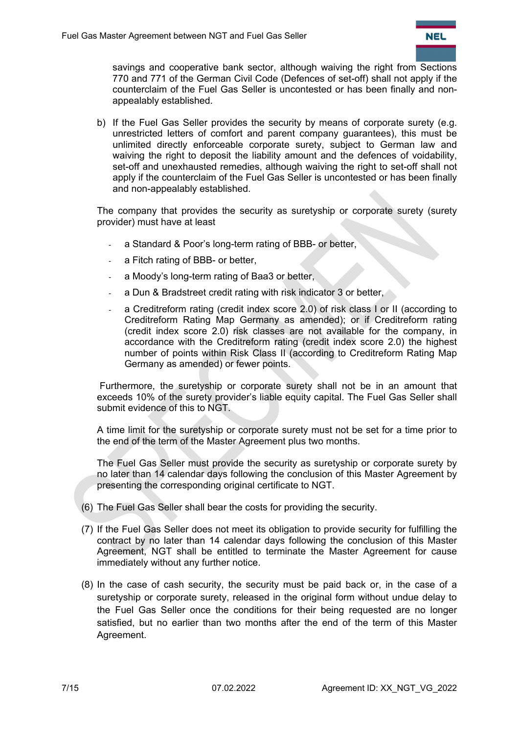

savings and cooperative bank sector, although waiving the right from Sections 770 and 771 of the German Civil Code (Defences of set-off) shall not apply if the counterclaim of the Fuel Gas Seller is uncontested or has been finally and nonappealably established.

b) If the Fuel Gas Seller provides the security by means of corporate surety (e.g. unrestricted letters of comfort and parent company guarantees), this must be unlimited directly enforceable corporate surety, subject to German law and waiving the right to deposit the liability amount and the defences of voidability, set-off and unexhausted remedies, although waiving the right to set-off shall not apply if the counterclaim of the Fuel Gas Seller is uncontested or has been finally and non-appealably established.

The company that provides the security as suretyship or corporate surety (surety provider) must have at least

- a Standard & Poor's long-term rating of BBB- or better,
- a Fitch rating of BBB- or better,
- a Moody's long-term rating of Baa3 or better,
- a Dun & Bradstreet credit rating with risk indicator 3 or better,
- a Creditreform rating (credit index score 2.0) of risk class I or II (according to Creditreform Rating Map Germany as amended); or if Creditreform rating (credit index score 2.0) risk classes are not available for the company, in accordance with the Creditreform rating (credit index score 2.0) the highest number of points within Risk Class II (according to Creditreform Rating Map Germany as amended) or fewer points.

 Furthermore, the suretyship or corporate surety shall not be in an amount that exceeds 10% of the surety provider's liable equity capital. The Fuel Gas Seller shall submit evidence of this to NGT.

A time limit for the suretyship or corporate surety must not be set for a time prior to the end of the term of the Master Agreement plus two months.

The Fuel Gas Seller must provide the security as suretyship or corporate surety by no later than 14 calendar days following the conclusion of this Master Agreement by presenting the corresponding original certificate to NGT.

- (6) The Fuel Gas Seller shall bear the costs for providing the security.
- (7) If the Fuel Gas Seller does not meet its obligation to provide security for fulfilling the contract by no later than 14 calendar days following the conclusion of this Master Agreement, NGT shall be entitled to terminate the Master Agreement for cause immediately without any further notice.
- (8) In the case of cash security, the security must be paid back or, in the case of a suretyship or corporate surety, released in the original form without undue delay to the Fuel Gas Seller once the conditions for their being requested are no longer satisfied, but no earlier than two months after the end of the term of this Master Agreement.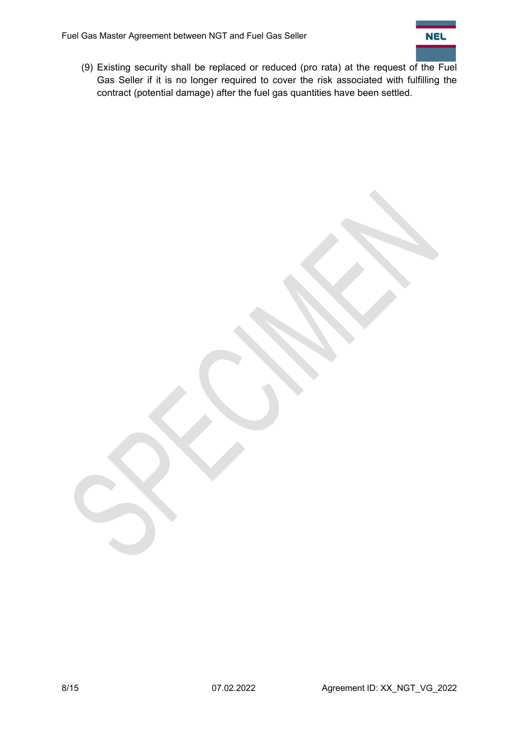

(9) Existing security shall be replaced or reduced (pro rata) at the request of the Fuel Gas Seller if it is no longer required to cover the risk associated with fulfilling the contract (potential damage) after the fuel gas quantities have been settled.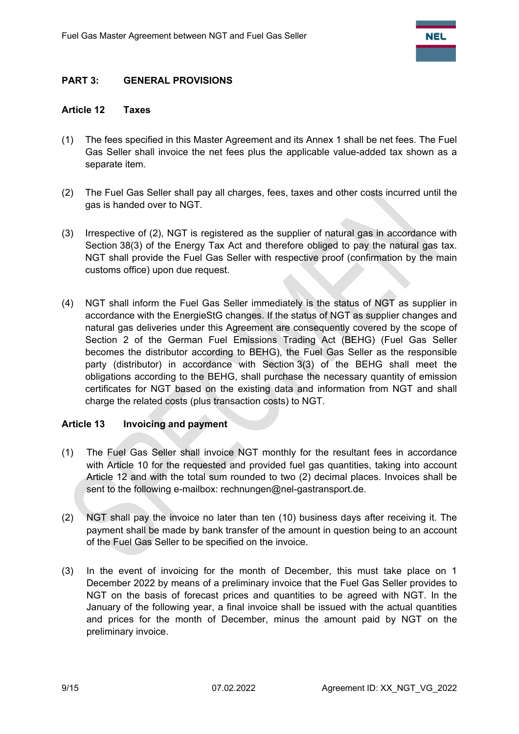## **PART 3: GENERAL PROVISIONS**

#### **Article 12 Taxes**

- (1) The fees specified in this Master Agreement and its Annex 1 shall be net fees. The Fuel Gas Seller shall invoice the net fees plus the applicable value-added tax shown as a separate item.
- (2) The Fuel Gas Seller shall pay all charges, fees, taxes and other costs incurred until the gas is handed over to NGT.
- (3) Irrespective of (2), NGT is registered as the supplier of natural gas in accordance with Section 38(3) of the Energy Tax Act and therefore obliged to pay the natural gas tax. NGT shall provide the Fuel Gas Seller with respective proof (confirmation by the main customs office) upon due request.
- (4) NGT shall inform the Fuel Gas Seller immediately is the status of NGT as supplier in accordance with the EnergieStG changes. If the status of NGT as supplier changes and natural gas deliveries under this Agreement are consequently covered by the scope of Section 2 of the German Fuel Emissions Trading Act (BEHG) (Fuel Gas Seller becomes the distributor according to BEHG), the Fuel Gas Seller as the responsible party (distributor) in accordance with Section 3(3) of the BEHG shall meet the obligations according to the BEHG, shall purchase the necessary quantity of emission certificates for NGT based on the existing data and information from NGT and shall charge the related costs (plus transaction costs) to NGT.

#### **Article 13 Invoicing and payment**

- (1) The Fuel Gas Seller shall invoice NGT monthly for the resultant fees in accordance with Article 10 for the requested and provided fuel gas quantities, taking into account Article 12 and with the total sum rounded to two (2) decimal places. Invoices shall be sent to the following e-mailbox: rechnungen@nel-gastransport.de.
- (2) NGT shall pay the invoice no later than ten (10) business days after receiving it. The payment shall be made by bank transfer of the amount in question being to an account of the Fuel Gas Seller to be specified on the invoice.
- (3) In the event of invoicing for the month of December, this must take place on 1 December 2022 by means of a preliminary invoice that the Fuel Gas Seller provides to NGT on the basis of forecast prices and quantities to be agreed with NGT. In the January of the following year, a final invoice shall be issued with the actual quantities and prices for the month of December, minus the amount paid by NGT on the preliminary invoice.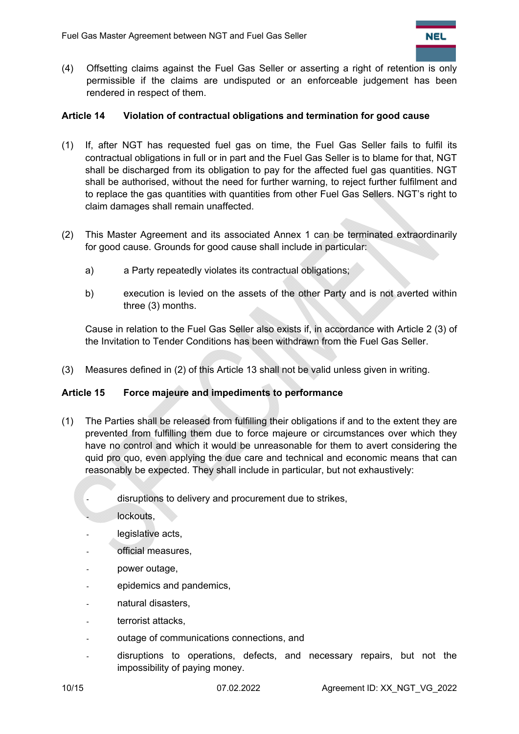(4) Offsetting claims against the Fuel Gas Seller or asserting a right of retention is only permissible if the claims are undisputed or an enforceable judgement has been rendered in respect of them.

#### **Article 14 Violation of contractual obligations and termination for good cause**

- (1) If, after NGT has requested fuel gas on time, the Fuel Gas Seller fails to fulfil its contractual obligations in full or in part and the Fuel Gas Seller is to blame for that, NGT shall be discharged from its obligation to pay for the affected fuel gas quantities. NGT shall be authorised, without the need for further warning, to reject further fulfilment and to replace the gas quantities with quantities from other Fuel Gas Sellers. NGT's right to claim damages shall remain unaffected.
- (2) This Master Agreement and its associated Annex 1 can be terminated extraordinarily for good cause. Grounds for good cause shall include in particular:
	- a) a Party repeatedly violates its contractual obligations;
	- b) execution is levied on the assets of the other Party and is not averted within three (3) months.

Cause in relation to the Fuel Gas Seller also exists if, in accordance with Article 2 (3) of the Invitation to Tender Conditions has been withdrawn from the Fuel Gas Seller.

(3) Measures defined in (2) of this Article 13 shall not be valid unless given in writing.

#### **Article 15 Force majeure and impediments to performance**

- (1) The Parties shall be released from fulfilling their obligations if and to the extent they are prevented from fulfilling them due to force majeure or circumstances over which they have no control and which it would be unreasonable for them to avert considering the quid pro quo, even applying the due care and technical and economic means that can reasonably be expected. They shall include in particular, but not exhaustively:
	- disruptions to delivery and procurement due to strikes,
		- lockouts.
	- legislative acts,
	- official measures.
	- power outage,
	- epidemics and pandemics,
	- natural disasters,
	- terrorist attacks,
	- outage of communications connections, and
	- disruptions to operations, defects, and necessary repairs, but not the impossibility of paying money.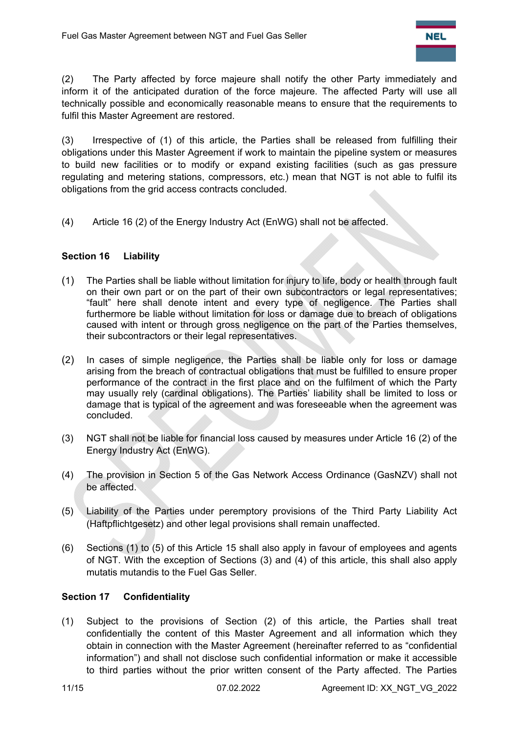(2) The Party affected by force majeure shall notify the other Party immediately and inform it of the anticipated duration of the force majeure. The affected Party will use all technically possible and economically reasonable means to ensure that the requirements to fulfil this Master Agreement are restored.

(3) Irrespective of (1) of this article, the Parties shall be released from fulfilling their obligations under this Master Agreement if work to maintain the pipeline system or measures to build new facilities or to modify or expand existing facilities (such as gas pressure regulating and metering stations, compressors, etc.) mean that NGT is not able to fulfil its obligations from the grid access contracts concluded.

(4) Article 16 (2) of the Energy Industry Act (EnWG) shall not be affected.

# **Section 16 Liability**

- (1) The Parties shall be liable without limitation for injury to life, body or health through fault on their own part or on the part of their own subcontractors or legal representatives; "fault" here shall denote intent and every type of negligence. The Parties shall furthermore be liable without limitation for loss or damage due to breach of obligations caused with intent or through gross negligence on the part of the Parties themselves, their subcontractors or their legal representatives.
- (2) In cases of simple negligence, the Parties shall be liable only for loss or damage arising from the breach of contractual obligations that must be fulfilled to ensure proper performance of the contract in the first place and on the fulfilment of which the Party may usually rely (cardinal obligations). The Parties' liability shall be limited to loss or damage that is typical of the agreement and was foreseeable when the agreement was concluded.
- (3) NGT shall not be liable for financial loss caused by measures under Article 16 (2) of the Energy Industry Act (EnWG).
- (4) The provision in Section 5 of the Gas Network Access Ordinance (GasNZV) shall not be affected.
- (5) Liability of the Parties under peremptory provisions of the Third Party Liability Act (Haftpflichtgesetz) and other legal provisions shall remain unaffected.
- (6) Sections (1) to (5) of this Article 15 shall also apply in favour of employees and agents of NGT. With the exception of Sections (3) and (4) of this article, this shall also apply mutatis mutandis to the Fuel Gas Seller.

# **Section 17 Confidentiality**

(1) Subject to the provisions of Section (2) of this article, the Parties shall treat confidentially the content of this Master Agreement and all information which they obtain in connection with the Master Agreement (hereinafter referred to as "confidential information") and shall not disclose such confidential information or make it accessible to third parties without the prior written consent of the Party affected. The Parties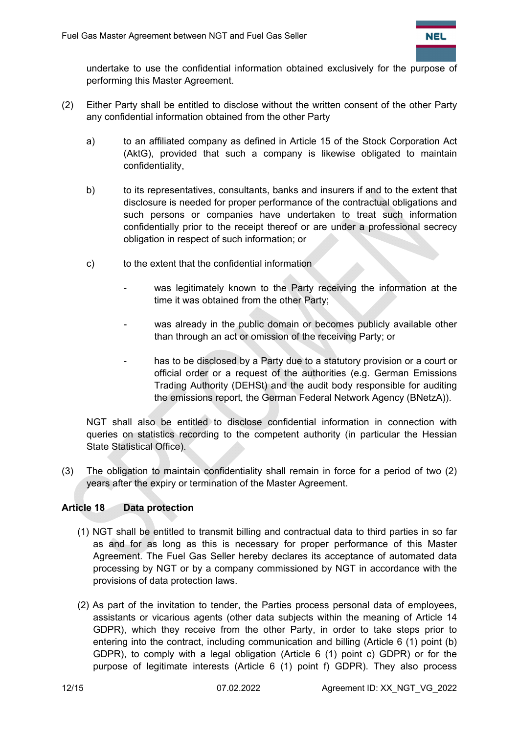

undertake to use the confidential information obtained exclusively for the purpose of performing this Master Agreement.

- (2) Either Party shall be entitled to disclose without the written consent of the other Party any confidential information obtained from the other Party
	- a) to an affiliated company as defined in Article 15 of the Stock Corporation Act (AktG), provided that such a company is likewise obligated to maintain confidentiality,
	- b) to its representatives, consultants, banks and insurers if and to the extent that disclosure is needed for proper performance of the contractual obligations and such persons or companies have undertaken to treat such information confidentially prior to the receipt thereof or are under a professional secrecy obligation in respect of such information; or
	- c) to the extent that the confidential information
		- was legitimately known to the Party receiving the information at the time it was obtained from the other Party;
		- was already in the public domain or becomes publicly available other than through an act or omission of the receiving Party; or
		- has to be disclosed by a Party due to a statutory provision or a court or official order or a request of the authorities (e.g. German Emissions Trading Authority (DEHSt) and the audit body responsible for auditing the emissions report, the German Federal Network Agency (BNetzA)).

NGT shall also be entitled to disclose confidential information in connection with queries on statistics recording to the competent authority (in particular the Hessian State Statistical Office).

(3) The obligation to maintain confidentiality shall remain in force for a period of two (2) years after the expiry or termination of the Master Agreement.

# **Article 18 Data protection**

- (1) NGT shall be entitled to transmit billing and contractual data to third parties in so far as and for as long as this is necessary for proper performance of this Master Agreement. The Fuel Gas Seller hereby declares its acceptance of automated data processing by NGT or by a company commissioned by NGT in accordance with the provisions of data protection laws.
- (2) As part of the invitation to tender, the Parties process personal data of employees, assistants or vicarious agents (other data subjects within the meaning of Article 14 GDPR), which they receive from the other Party, in order to take steps prior to entering into the contract, including communication and billing (Article 6 (1) point (b) GDPR), to comply with a legal obligation (Article 6 (1) point c) GDPR) or for the purpose of legitimate interests (Article 6 (1) point f) GDPR). They also process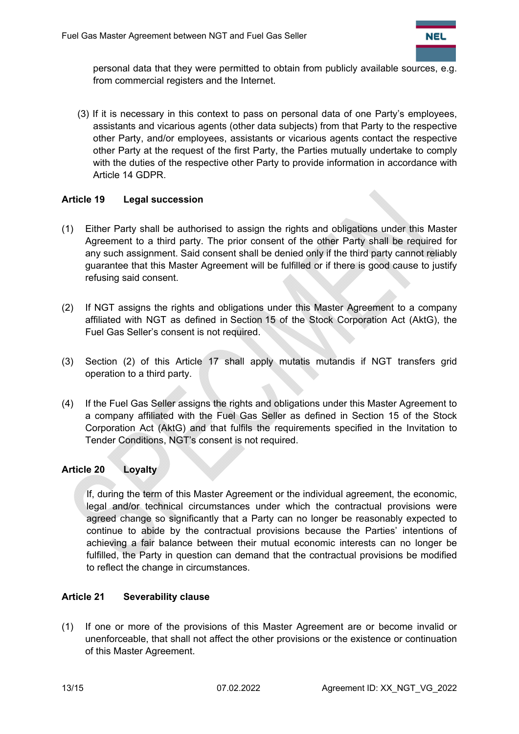

personal data that they were permitted to obtain from publicly available sources, e.g. from commercial registers and the Internet.

(3) If it is necessary in this context to pass on personal data of one Party's employees, assistants and vicarious agents (other data subjects) from that Party to the respective other Party, and/or employees, assistants or vicarious agents contact the respective other Party at the request of the first Party, the Parties mutually undertake to comply with the duties of the respective other Party to provide information in accordance with Article 14 GDPR.

## **Article 19 Legal succession**

- (1) Either Party shall be authorised to assign the rights and obligations under this Master Agreement to a third party. The prior consent of the other Party shall be required for any such assignment. Said consent shall be denied only if the third party cannot reliably guarantee that this Master Agreement will be fulfilled or if there is good cause to justify refusing said consent.
- (2) If NGT assigns the rights and obligations under this Master Agreement to a company affiliated with NGT as defined in Section 15 of the Stock Corporation Act (AktG), the Fuel Gas Seller's consent is not required.
- (3) Section (2) of this Article 17 shall apply mutatis mutandis if NGT transfers grid operation to a third party.
- (4) If the Fuel Gas Seller assigns the rights and obligations under this Master Agreement to a company affiliated with the Fuel Gas Seller as defined in Section 15 of the Stock Corporation Act (AktG) and that fulfils the requirements specified in the Invitation to Tender Conditions, NGT's consent is not required.

#### **Article 20 Loyalty**

If, during the term of this Master Agreement or the individual agreement, the economic, legal and/or technical circumstances under which the contractual provisions were agreed change so significantly that a Party can no longer be reasonably expected to continue to abide by the contractual provisions because the Parties' intentions of achieving a fair balance between their mutual economic interests can no longer be fulfilled, the Party in question can demand that the contractual provisions be modified to reflect the change in circumstances.

# **Article 21 Severability clause**

(1) If one or more of the provisions of this Master Agreement are or become invalid or unenforceable, that shall not affect the other provisions or the existence or continuation of this Master Agreement.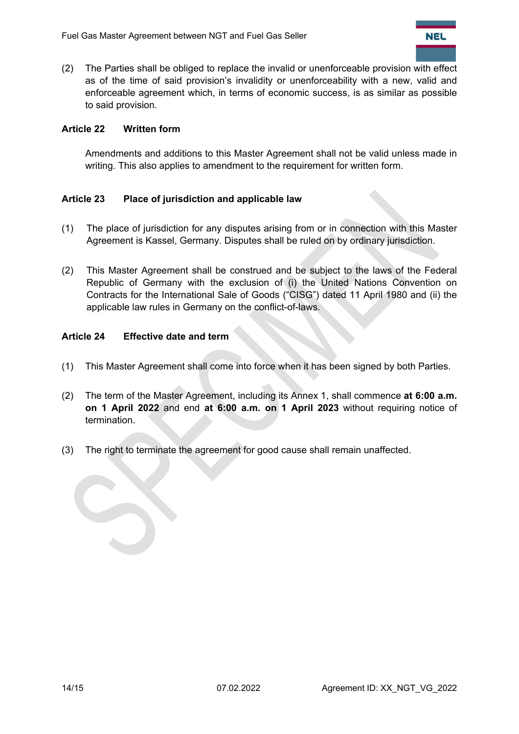

(2) The Parties shall be obliged to replace the invalid or unenforceable provision with effect as of the time of said provision's invalidity or unenforceability with a new, valid and enforceable agreement which, in terms of economic success, is as similar as possible to said provision.

## **Article 22 Written form**

Amendments and additions to this Master Agreement shall not be valid unless made in writing. This also applies to amendment to the requirement for written form.

## **Article 23 Place of jurisdiction and applicable law**

- (1) The place of jurisdiction for any disputes arising from or in connection with this Master Agreement is Kassel, Germany. Disputes shall be ruled on by ordinary jurisdiction.
- (2) This Master Agreement shall be construed and be subject to the laws of the Federal Republic of Germany with the exclusion of (i) the United Nations Convention on Contracts for the International Sale of Goods ("CISG") dated 11 April 1980 and (ii) the applicable law rules in Germany on the conflict-of-laws.

#### **Article 24 Effective date and term**

- (1) This Master Agreement shall come into force when it has been signed by both Parties.
- (2) The term of the Master Agreement, including its Annex 1, shall commence **at 6:00 a.m. on 1 April 2022** and end **at 6:00 a.m. on 1 April 2023** without requiring notice of termination.
- (3) The right to terminate the agreement for good cause shall remain unaffected.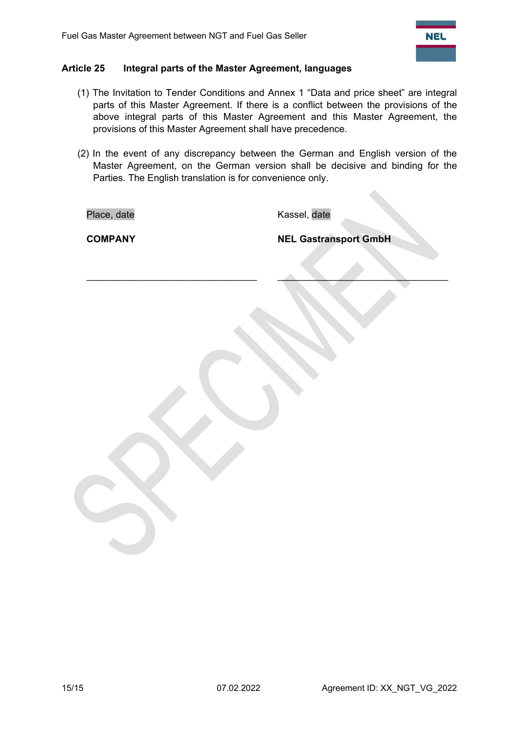

#### **Article 25 Integral parts of the Master Agreement, languages**

- (1) The Invitation to Tender Conditions and Annex 1 "Data and price sheet" are integral parts of this Master Agreement. If there is a conflict between the provisions of the above integral parts of this Master Agreement and this Master Agreement, the provisions of this Master Agreement shall have precedence.
- (2) In the event of any discrepancy between the German and English version of the Master Agreement, on the German version shall be decisive and binding for the Parties. The English translation is for convenience only.

 $\qquad \qquad \blacksquare$ 

Place, date **Kassel**, date

**COMPANY NEL Gastransport GmbH**